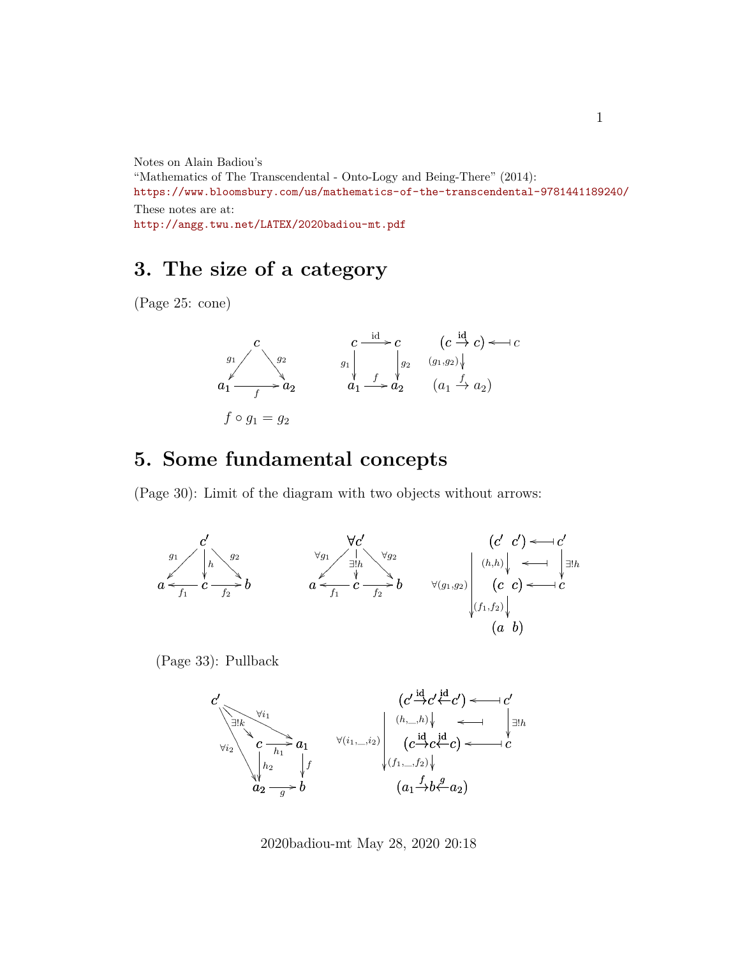Notes on Alain Badiou's

"Mathematics of The Transcendental - Onto-Logy and Being-There" (2014): <https://www.bloomsbury.com/us/mathematics-of-the-transcendental-9781441189240/> These notes are at: <http://angg.twu.net/LATEX/2020badiou-mt.pdf>

## **3. The size of a category**

(Page 25: cone)



## **5. Some fundamental concepts**

(Page 30): Limit of the diagram with two objects without arrows:



(Page 33): Pullback



2020badiou-mt May 28, 2020 20:18